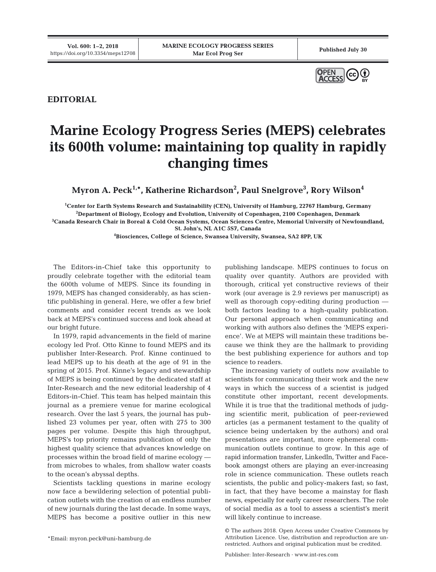

**EDITORIAL**

## **Marine Ecology Progress Series (MEPS) celebrates its 600th volume: maintaining top quality in rapidly changing times**

**Myron A. Peck1,\*, Katherine Richardson2 , Paul Snelgrove3 , Rory Wilson4**

 **Center for Earth Systems Research and Sustainability (CEN), University of Hamburg, 22767 Hamburg, Germany Department of Biology, Ecology and Evolution, University of Copenhagen, 2100 Copenhagen, Denmark Canada Research Chair in Boreal & Cold Ocean Systems, Ocean Sciences Centre, Memorial University of Newfoundland, St. John's, NL A1C 5S7, Canada**

**4 Biosciences, College of Science, Swansea University, Swansea, SA2 8PP, UK**

The Editors-in-Chief take this opportunity to proudly celebrate together with the editorial team the 600th volume of MEPS. Since its founding in 1979, MEPS has changed considerably, as has scientific publishing in general. Here, we offer a few brief comments and consider recent trends as we look back at MEPS's continued success and look ahead at our bright future.

In 1979, rapid advancements in the field of marine ecology led Prof. Otto Kinne to found MEPS and its publisher Inter-Research. Prof. Kinne continued to lead MEPS up to his death at the age of 91 in the spring of 2015. Prof. Kinne's legacy and stewardship of MEPS is being continued by the dedicated staff at Inter-Research and the new editorial leadership of 4 Editors-in-Chief. This team has helped maintain this journal as a premiere venue for marine ecological research. Over the last 5 years, the journal has published 23 volumes per year, often with 275 to 300 pages per volume. Despite this high throughput, MEPS's top priority remains publication of only the highest quality science that advances knowledge on processes within the broad field of marine ecology from microbes to whales, from shallow water coasts to the ocean's abyssal depths.

Scientists tackling questions in marine ecology now face a bewildering selection of potential publication outlets with the creation of an endless number of new journals during the last decade. In some ways, MEPS has become a positive outlier in this new

\*Email: myron.peck@uni-hamburg.de

publishing landscape. MEPS continues to focus on quality over quantity. Authors are provided with thorough, critical yet constructive reviews of their work (our average is 2.9 reviews per manuscript) as well as thorough copy-editing during production both factors leading to a high-quality publication. Our personal approach when communicating and working with authors also defines the 'MEPS experience'. We at MEPS will maintain these traditions be cause we think they are the hallmark to providing the best publishing experience for authors and top science to readers.

The increasing variety of outlets now available to scientists for communicating their work and the new ways in which the success of a scientist is judged constitute other important, recent developments. While it is true that the traditional methods of judging scientific merit, publication of peer-reviewed articles (as a permanent testament to the quality of science being undertaken by the authors) and oral presentations are important, more ephemeral communication outlets continue to grow. In this age of rapid information transfer, LinkedIn, Twitter and Facebook amongst others are playing an ever-increasing role in science communication. These outlets reach scientists, the public and policy-makers fast; so fast, in fact, that they have become a mainstay for flash news, especially for early career researchers. The role of social media as a tool to assess a scientist's merit will likely continue to increase.

<sup>©</sup> The authors 2018. Open Access under Creative Commons by Attribution Licence. Use, distribution and reproduction are unrestricted. Authors and original publication must be credited.